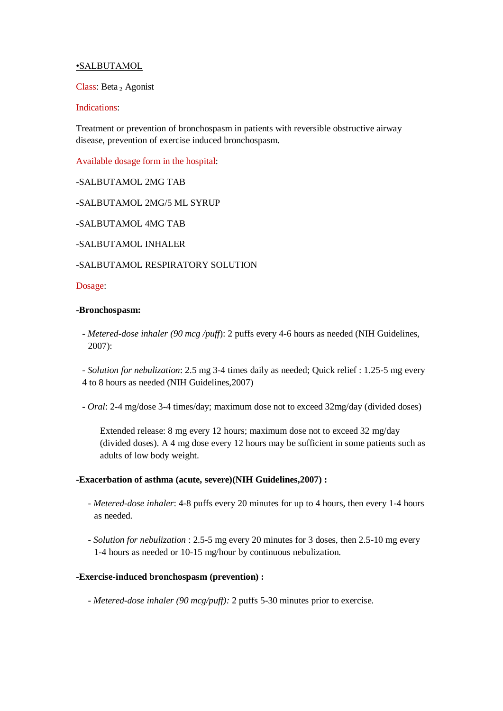# •SALBUTAMOL

Class: Beta <sup>2</sup> Agonist

## Indications:

Treatment or prevention of bronchospasm in patients with reversible obstructive airway disease, prevention of exercise induced bronchospasm.

Available dosage form in the hospital:

-SALBUTAMOL 2MG TAB

-SALBUTAMOL 2MG/5 ML SYRUP

-SALBUTAMOL 4MG TAB

-SALBUTAMOL INHALER

## -SALBUTAMOL RESPIRATORY SOLUTION

#### Dosage:

#### **-Bronchospasm:**

- *Metered-dose inhaler (90 mcg /puff*): 2 puffs every 4-6 hours as needed (NIH Guidelines, 2007):

- *Solution for nebulization*: 2.5 mg 3-4 times daily as needed; Quick relief : 1.25-5 mg every 4 to 8 hours as needed (NIH Guidelines,2007)

- *Oral*: 2-4 mg/dose 3-4 times/day; maximum dose not to exceed 32mg/day (divided doses)

Extended release: 8 mg every 12 hours; maximum dose not to exceed 32 mg/day (divided doses). A 4 mg dose every 12 hours may be sufficient in some patients such as adults of low body weight.

### **-Exacerbation of asthma (acute, severe)(NIH Guidelines,2007) :**

- *Metered-dose inhaler*: 4-8 puffs every 20 minutes for up to 4 hours, then every 1-4 hours as needed.
- *Solution for nebulization* : 2.5-5 mg every 20 minutes for 3 doses, then 2.5-10 mg every 1-4 hours as needed or 10-15 mg/hour by continuous nebulization.

### **-Exercise-induced bronchospasm (prevention) :**

- *Metered-dose inhaler (90 mcg/puff):* 2 puffs 5-30 minutes prior to exercise.